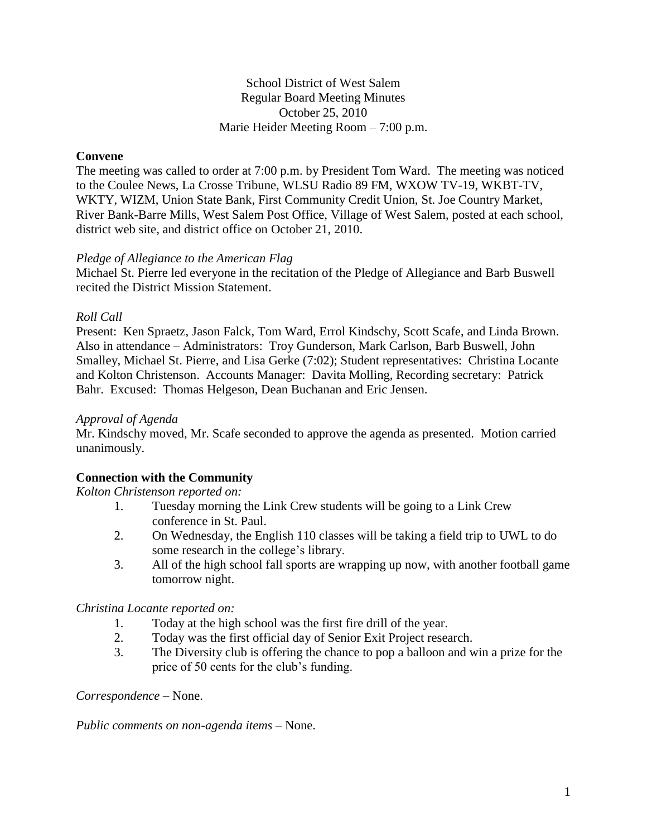### School District of West Salem Regular Board Meeting Minutes October 25, 2010 Marie Heider Meeting Room – 7:00 p.m.

### **Convene**

The meeting was called to order at 7:00 p.m. by President Tom Ward. The meeting was noticed to the Coulee News, La Crosse Tribune, WLSU Radio 89 FM, WXOW TV-19, WKBT-TV, WKTY, WIZM, Union State Bank, First Community Credit Union, St. Joe Country Market, River Bank-Barre Mills, West Salem Post Office, Village of West Salem, posted at each school, district web site, and district office on October 21, 2010.

#### *Pledge of Allegiance to the American Flag*

Michael St. Pierre led everyone in the recitation of the Pledge of Allegiance and Barb Buswell recited the District Mission Statement.

### *Roll Call*

Present: Ken Spraetz, Jason Falck, Tom Ward, Errol Kindschy, Scott Scafe, and Linda Brown. Also in attendance – Administrators: Troy Gunderson, Mark Carlson, Barb Buswell, John Smalley, Michael St. Pierre, and Lisa Gerke (7:02); Student representatives: Christina Locante and Kolton Christenson. Accounts Manager: Davita Molling, Recording secretary: Patrick Bahr. Excused: Thomas Helgeson, Dean Buchanan and Eric Jensen.

### *Approval of Agenda*

Mr. Kindschy moved, Mr. Scafe seconded to approve the agenda as presented. Motion carried unanimously.

## **Connection with the Community**

#### *Kolton Christenson reported on:*

- 1. Tuesday morning the Link Crew students will be going to a Link Crew conference in St. Paul.
- 2. On Wednesday, the English 110 classes will be taking a field trip to UWL to do some research in the college's library.
- 3. All of the high school fall sports are wrapping up now, with another football game tomorrow night.

## *Christina Locante reported on:*

- 1. Today at the high school was the first fire drill of the year.
- 2. Today was the first official day of Senior Exit Project research.
- 3. The Diversity club is offering the chance to pop a balloon and win a prize for the price of 50 cents for the club's funding.

*Correspondence –* None.

*Public comments on non-agenda items –* None.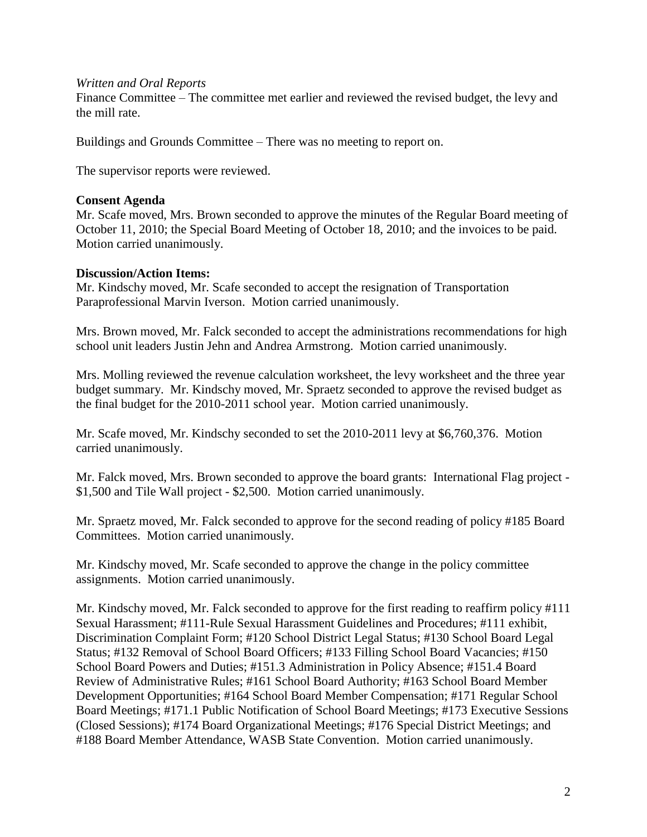#### *Written and Oral Reports*

Finance Committee – The committee met earlier and reviewed the revised budget, the levy and the mill rate.

Buildings and Grounds Committee – There was no meeting to report on.

The supervisor reports were reviewed.

#### **Consent Agenda**

Mr. Scafe moved, Mrs. Brown seconded to approve the minutes of the Regular Board meeting of October 11, 2010; the Special Board Meeting of October 18, 2010; and the invoices to be paid. Motion carried unanimously.

#### **Discussion/Action Items:**

Mr. Kindschy moved, Mr. Scafe seconded to accept the resignation of Transportation Paraprofessional Marvin Iverson. Motion carried unanimously.

Mrs. Brown moved, Mr. Falck seconded to accept the administrations recommendations for high school unit leaders Justin Jehn and Andrea Armstrong. Motion carried unanimously.

Mrs. Molling reviewed the revenue calculation worksheet, the levy worksheet and the three year budget summary. Mr. Kindschy moved, Mr. Spraetz seconded to approve the revised budget as the final budget for the 2010-2011 school year. Motion carried unanimously.

Mr. Scafe moved, Mr. Kindschy seconded to set the 2010-2011 levy at \$6,760,376. Motion carried unanimously.

Mr. Falck moved, Mrs. Brown seconded to approve the board grants: International Flag project - \$1,500 and Tile Wall project - \$2,500. Motion carried unanimously.

Mr. Spraetz moved, Mr. Falck seconded to approve for the second reading of policy #185 Board Committees. Motion carried unanimously.

Mr. Kindschy moved, Mr. Scafe seconded to approve the change in the policy committee assignments. Motion carried unanimously.

Mr. Kindschy moved, Mr. Falck seconded to approve for the first reading to reaffirm policy #111 Sexual Harassment; #111-Rule Sexual Harassment Guidelines and Procedures; #111 exhibit, Discrimination Complaint Form; #120 School District Legal Status; #130 School Board Legal Status; #132 Removal of School Board Officers; #133 Filling School Board Vacancies; #150 School Board Powers and Duties; #151.3 Administration in Policy Absence; #151.4 Board Review of Administrative Rules; #161 School Board Authority; #163 School Board Member Development Opportunities; #164 School Board Member Compensation; #171 Regular School Board Meetings; #171.1 Public Notification of School Board Meetings; #173 Executive Sessions (Closed Sessions); #174 Board Organizational Meetings; #176 Special District Meetings; and #188 Board Member Attendance, WASB State Convention. Motion carried unanimously.